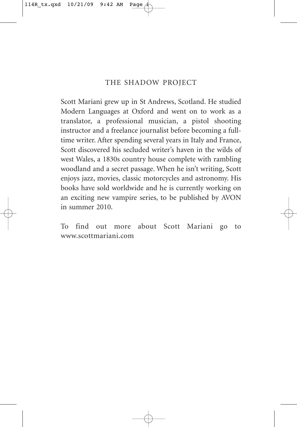#### THE SHADOW PROJECT

Scott Mariani grew up in St Andrews, Scotland. He studied Modern Languages at Oxford and went on to work as a translator, a professional musician, a pistol shooting instructor and a freelance journalist before becoming a fulltime writer. After spending several years in Italy and France, Scott discovered his secluded writer's haven in the wilds of west Wales, a 1830s country house complete with rambling woodland and a secret passage. When he isn't writing, Scott enjoys jazz, movies, classic motorcycles and astronomy. His books have sold worldwide and he is currently working on an exciting new vampire series, to be published by AVON in summer 2010.

To find out more about Scott Mariani go to www.scottmariani.com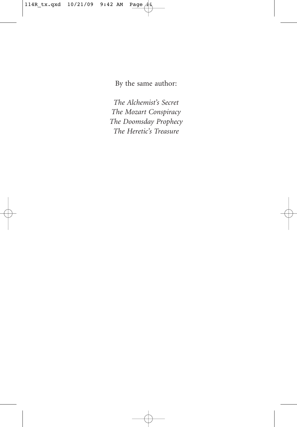By the same author:

*The Alchemist's Secret The Mozart Conspiracy The Doomsday Prophecy The Heretic's Treasure*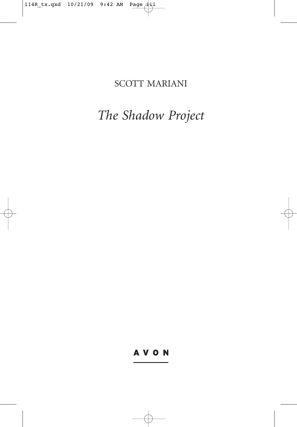## SCOTT MARIANI

# *The Shadow Project*

### **AVON**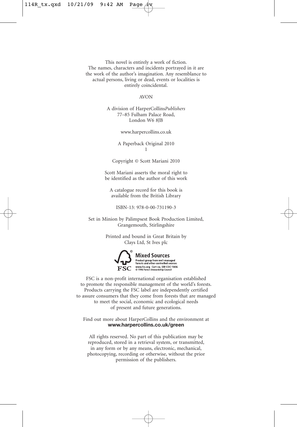This novel is entirely a work of fiction. The names, characters and incidents portrayed in it are the work of the author's imagination. Any resemblance to actual persons, living or dead, events or localities is entirely coincidental.

#### AVON

A division of HarperCollins*Publishers* 77–85 Fulham Palace Road, London W6 8JB

www.harpercollins.co.uk

A Paperback Original 2010 1

Copyright © Scott Mariani 2010

Scott Mariani asserts the moral right to be identified as the author of this work

A catalogue record for this book is available from the British Library

ISBN-13: 978-0-00-731190-3

Set in Minion by Palimpsest Book Production Limited, Grangemouth, Stirlingshire

> Printed and bound in Great Britain by Clays Ltd, St Ives plc



FSC is a non-profit international organisation established to promote the responsible management of the world's forests. Products carrying the FSC label are independently certified to assure consumers that they come from forests that are managed to meet the social, economic and ecological needs of present and future generations.

Find out more about HarperCollins and the environment at **www.harpercollins.co.uk/green**

All rights reserved. No part of this publication may be reproduced, stored in a retrieval system, or transmitted, in any form or by any means, electronic, mechanical, photocopying, recording or otherwise, without the prior permission of the publishers.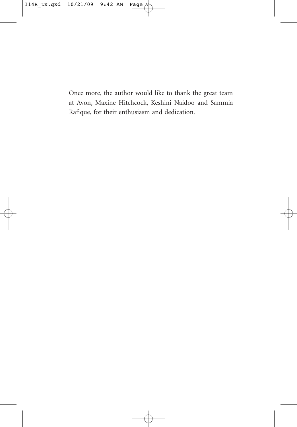Once more, the author would like to thank the great team at Avon, Maxine Hitchcock, Keshini Naidoo and Sammia Rafique, for their enthusiasm and dedication.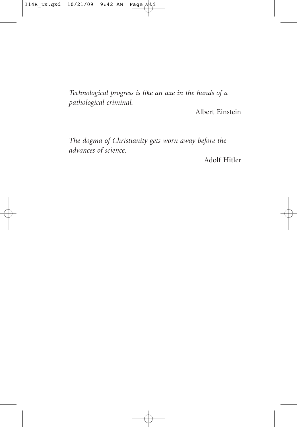*Technological progress is like an axe in the hands of a pathological criminal.*

Albert Einstein

*The dogma of Christianity gets worn away before the advances of science.*

Adolf Hitler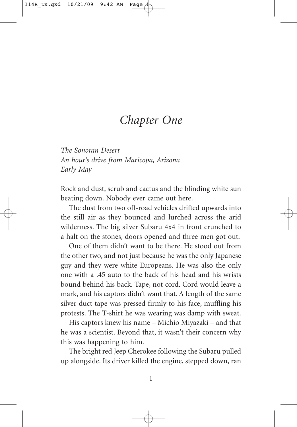# *Chapter One*

*The Sonoran Desert An hour's drive from Maricopa, Arizona Early May*

Rock and dust, scrub and cactus and the blinding white sun beating down. Nobody ever came out here.

The dust from two off-road vehicles drifted upwards into the still air as they bounced and lurched across the arid wilderness. The big silver Subaru 4x4 in front crunched to a halt on the stones, doors opened and three men got out.

One of them didn't want to be there. He stood out from the other two, and not just because he was the only Japanese guy and they were white Europeans. He was also the only one with a .45 auto to the back of his head and his wrists bound behind his back. Tape, not cord. Cord would leave a mark, and his captors didn't want that. A length of the same silver duct tape was pressed firmly to his face, muffling his protests. The T-shirt he was wearing was damp with sweat.

His captors knew his name – Michio Miyazaki – and that he was a scientist. Beyond that, it wasn't their concern why this was happening to him.

The bright red Jeep Cherokee following the Subaru pulled up alongside. Its driver killed the engine, stepped down, ran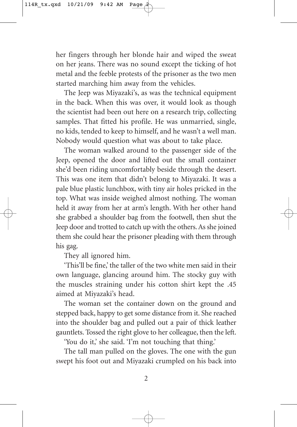her fingers through her blonde hair and wiped the sweat on her jeans. There was no sound except the ticking of hot metal and the feeble protests of the prisoner as the two men started marching him away from the vehicles.

The Jeep was Miyazaki's, as was the technical equipment in the back. When this was over, it would look as though the scientist had been out here on a research trip, collecting samples. That fitted his profile. He was unmarried, single, no kids, tended to keep to himself, and he wasn't a well man. Nobody would question what was about to take place.

The woman walked around to the passenger side of the Jeep, opened the door and lifted out the small container she'd been riding uncomfortably beside through the desert. This was one item that didn't belong to Miyazaki. It was a pale blue plastic lunchbox, with tiny air holes pricked in the top. What was inside weighed almost nothing. The woman held it away from her at arm's length. With her other hand she grabbed a shoulder bag from the footwell, then shut the Jeep door and trotted to catch up with the others. As she joined them she could hear the prisoner pleading with them through his gag.

They all ignored him.

'This'll be fine,' the taller of the two white men said in their own language, glancing around him. The stocky guy with the muscles straining under his cotton shirt kept the .45 aimed at Miyazaki's head.

The woman set the container down on the ground and stepped back, happy to get some distance from it. She reached into the shoulder bag and pulled out a pair of thick leather gauntlets. Tossed the right glove to her colleague, then the left.

'You do it,' she said. 'I'm not touching that thing.'

The tall man pulled on the gloves. The one with the gun swept his foot out and Miyazaki crumpled on his back into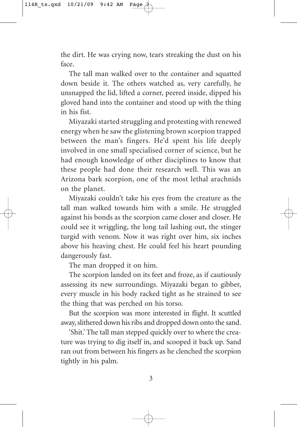the dirt. He was crying now, tears streaking the dust on his face.

The tall man walked over to the container and squatted down beside it. The others watched as, very carefully, he unsnapped the lid, lifted a corner, peered inside, dipped his gloved hand into the container and stood up with the thing in his fist.

Miyazaki started struggling and protesting with renewed energy when he saw the glistening brown scorpion trapped between the man's fingers. He'd spent his life deeply involved in one small specialised corner of science, but he had enough knowledge of other disciplines to know that these people had done their research well. This was an Arizona bark scorpion, one of the most lethal arachnids on the planet.

Miyazaki couldn't take his eyes from the creature as the tall man walked towards him with a smile. He struggled against his bonds as the scorpion came closer and closer. He could see it wriggling, the long tail lashing out, the stinger turgid with venom. Now it was right over him, six inches above his heaving chest. He could feel his heart pounding dangerously fast.

The man dropped it on him.

The scorpion landed on its feet and froze, as if cautiously assessing its new surroundings. Miyazaki began to gibber, every muscle in his body racked tight as he strained to see the thing that was perched on his torso.

But the scorpion was more interested in flight. It scuttled away, slithered down his ribs and dropped down onto the sand.

'Shit.' The tall man stepped quickly over to where the creature was trying to dig itself in, and scooped it back up. Sand ran out from between his fingers as he clenched the scorpion tightly in his palm.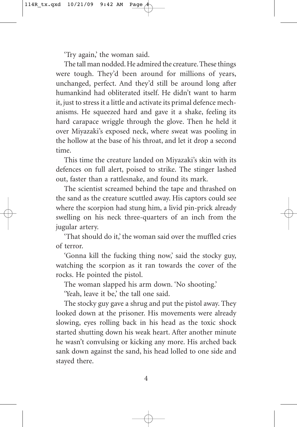'Try again,' the woman said.

The tall man nodded. He admired the creature. These things were tough. They'd been around for millions of years, unchanged, perfect. And they'd still be around long after humankind had obliterated itself. He didn't want to harm it, just to stress it a little and activate its primal defence mechanisms. He squeezed hard and gave it a shake, feeling its hard carapace wriggle through the glove. Then he held it over Miyazaki's exposed neck, where sweat was pooling in the hollow at the base of his throat, and let it drop a second time.

This time the creature landed on Miyazaki's skin with its defences on full alert, poised to strike. The stinger lashed out, faster than a rattlesnake, and found its mark.

The scientist screamed behind the tape and thrashed on the sand as the creature scuttled away. His captors could see where the scorpion had stung him, a livid pin-prick already swelling on his neck three-quarters of an inch from the jugular artery.

'That should do it,' the woman said over the muffled cries of terror.

'Gonna kill the fucking thing now,' said the stocky guy, watching the scorpion as it ran towards the cover of the rocks. He pointed the pistol.

The woman slapped his arm down. 'No shooting.'

'Yeah, leave it be,' the tall one said.

The stocky guy gave a shrug and put the pistol away. They looked down at the prisoner. His movements were already slowing, eyes rolling back in his head as the toxic shock started shutting down his weak heart. After another minute he wasn't convulsing or kicking any more. His arched back sank down against the sand, his head lolled to one side and stayed there.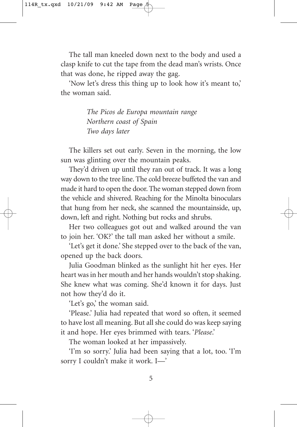The tall man kneeled down next to the body and used a clasp knife to cut the tape from the dead man's wrists. Once that was done, he ripped away the gag.

'Now let's dress this thing up to look how it's meant to,' the woman said.

> *The Picos de Europa mountain range Northern coast of Spain Two days later*

The killers set out early. Seven in the morning, the low sun was glinting over the mountain peaks.

They'd driven up until they ran out of track. It was a long way down to the tree line. The cold breeze buffeted the van and made it hard to open the door. The woman stepped down from the vehicle and shivered. Reaching for the Minolta binoculars that hung from her neck, she scanned the mountainside, up, down, left and right. Nothing but rocks and shrubs.

Her two colleagues got out and walked around the van to join her. 'OK?' the tall man asked her without a smile.

'Let's get it done.' She stepped over to the back of the van, opened up the back doors.

Julia Goodman blinked as the sunlight hit her eyes. Her heart was in her mouth and her hands wouldn't stop shaking. She knew what was coming. She'd known it for days. Just not how they'd do it.

'Let's go,' the woman said.

'Please.' Julia had repeated that word so often, it seemed to have lost all meaning. But all she could do was keep saying it and hope. Her eyes brimmed with tears. '*Please*.'

The woman looked at her impassively.

'I'm so sorry.' Julia had been saying that a lot, too. 'I'm sorry I couldn't make it work. I—'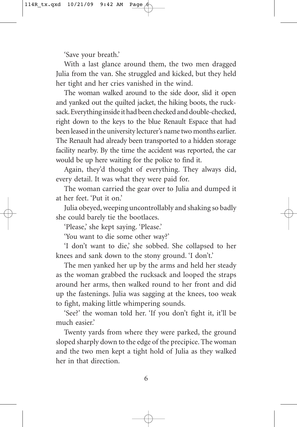'Save your breath.'

With a last glance around them, the two men dragged Julia from the van. She struggled and kicked, but they held her tight and her cries vanished in the wind.

The woman walked around to the side door, slid it open and yanked out the quilted jacket, the hiking boots, the rucksack.Everything inside it had been checked and double-checked, right down to the keys to the blue Renault Espace that had been leased in the university lecturer's name two months earlier. The Renault had already been transported to a hidden storage facility nearby. By the time the accident was reported, the car would be up here waiting for the police to find it.

Again, they'd thought of everything. They always did, every detail. It was what they were paid for.

The woman carried the gear over to Julia and dumped it at her feet. 'Put it on.'

Julia obeyed, weeping uncontrollably and shaking so badly she could barely tie the bootlaces.

'Please,' she kept saying. 'Please.'

'You want to die some other way?'

'I don't want to die,' she sobbed. She collapsed to her knees and sank down to the stony ground. 'I don't.'

The men yanked her up by the arms and held her steady as the woman grabbed the rucksack and looped the straps around her arms, then walked round to her front and did up the fastenings. Julia was sagging at the knees, too weak to fight, making little whimpering sounds.

'See?' the woman told her. 'If you don't fight it, it'll be much easier.'

Twenty yards from where they were parked, the ground sloped sharply down to the edge of the precipice. The woman and the two men kept a tight hold of Julia as they walked her in that direction.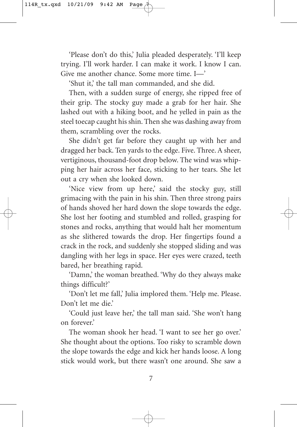'Please don't do this,' Julia pleaded desperately. 'I'll keep trying. I'll work harder. I can make it work. I know I can. Give me another chance. Some more time. I—'

'Shut it,' the tall man commanded, and she did.

Then, with a sudden surge of energy, she ripped free of their grip. The stocky guy made a grab for her hair. She lashed out with a hiking boot, and he yelled in pain as the steel toecap caught his shin. Then she was dashing away from them, scrambling over the rocks.

She didn't get far before they caught up with her and dragged her back. Ten yards to the edge. Five. Three. A sheer, vertiginous, thousand-foot drop below. The wind was whipping her hair across her face, sticking to her tears. She let out a cry when she looked down.

'Nice view from up here,' said the stocky guy, still grimacing with the pain in his shin. Then three strong pairs of hands shoved her hard down the slope towards the edge. She lost her footing and stumbled and rolled, grasping for stones and rocks, anything that would halt her momentum as she slithered towards the drop. Her fingertips found a crack in the rock, and suddenly she stopped sliding and was dangling with her legs in space. Her eyes were crazed, teeth bared, her breathing rapid.

'Damn,' the woman breathed. 'Why do they always make things difficult?'

'Don't let me fall,' Julia implored them. 'Help me. Please. Don't let me die.'

'Could just leave her,' the tall man said. 'She won't hang on forever.'

The woman shook her head. 'I want to see her go over.' She thought about the options. Too risky to scramble down the slope towards the edge and kick her hands loose. A long stick would work, but there wasn't one around. She saw a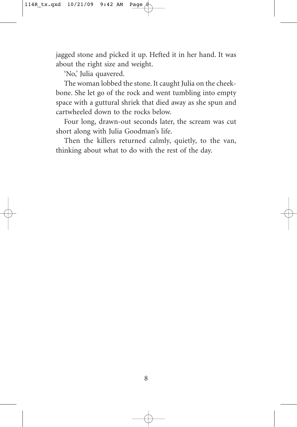jagged stone and picked it up. Hefted it in her hand. It was about the right size and weight.

'No,' Julia quavered.

The woman lobbed the stone. It caught Julia on the cheekbone. She let go of the rock and went tumbling into empty space with a guttural shriek that died away as she spun and cartwheeled down to the rocks below.

Four long, drawn-out seconds later, the scream was cut short along with Julia Goodman's life.

Then the killers returned calmly, quietly, to the van, thinking about what to do with the rest of the day.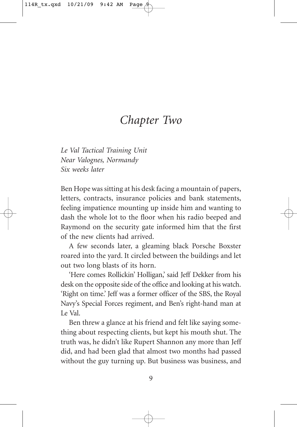# *Chapter Two*

*Le Val Tactical Training Unit Near Valognes, Normandy Six weeks later*

Ben Hope was sitting at his desk facing a mountain of papers, letters, contracts, insurance policies and bank statements, feeling impatience mounting up inside him and wanting to dash the whole lot to the floor when his radio beeped and Raymond on the security gate informed him that the first of the new clients had arrived.

A few seconds later, a gleaming black Porsche Boxster roared into the yard. It circled between the buildings and let out two long blasts of its horn.

'Here comes Rollickin' Holligan,' said Jeff Dekker from his desk on the opposite side of the office and looking at his watch. 'Right on time.' Jeff was a former officer of the SBS, the Royal Navy's Special Forces regiment, and Ben's right-hand man at Le Val.

Ben threw a glance at his friend and felt like saying something about respecting clients, but kept his mouth shut. The truth was, he didn't like Rupert Shannon any more than Jeff did, and had been glad that almost two months had passed without the guy turning up. But business was business, and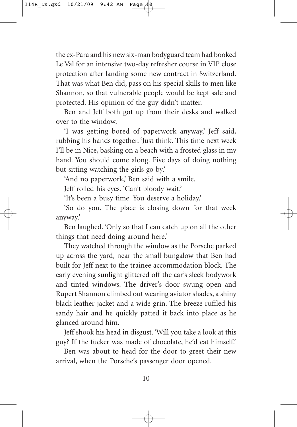the ex-Para and his new six-man bodyguard team had booked Le Val for an intensive two-day refresher course in VIP close protection after landing some new contract in Switzerland. That was what Ben did, pass on his special skills to men like Shannon, so that vulnerable people would be kept safe and protected. His opinion of the guy didn't matter.

Ben and Jeff both got up from their desks and walked over to the window.

'I was getting bored of paperwork anyway,' Jeff said, rubbing his hands together. 'Just think. This time next week I'll be in Nice, basking on a beach with a frosted glass in my hand. You should come along. Five days of doing nothing but sitting watching the girls go by.'

'And no paperwork,' Ben said with a smile.

Jeff rolled his eyes. 'Can't bloody wait.'

'It's been a busy time. You deserve a holiday.'

'So do you. The place is closing down for that week anyway.'

Ben laughed. 'Only so that I can catch up on all the other things that need doing around here.'

They watched through the window as the Porsche parked up across the yard, near the small bungalow that Ben had built for Jeff next to the trainee accommodation block. The early evening sunlight glittered off the car's sleek bodywork and tinted windows. The driver's door swung open and Rupert Shannon climbed out wearing aviator shades, a shiny black leather jacket and a wide grin. The breeze ruffled his sandy hair and he quickly patted it back into place as he glanced around him.

Jeff shook his head in disgust. 'Will you take a look at this guy? If the fucker was made of chocolate, he'd eat himself.'

Ben was about to head for the door to greet their new arrival, when the Porsche's passenger door opened.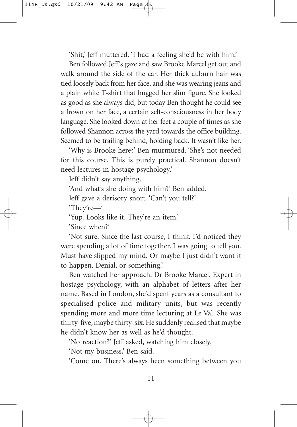'Shit,' Jeff muttered. 'I had a feeling she'd be with him.'

Ben followed Jeff's gaze and saw Brooke Marcel get out and walk around the side of the car. Her thick auburn hair was tied loosely back from her face, and she was wearing jeans and a plain white T-shirt that hugged her slim figure. She looked as good as she always did, but today Ben thought he could see a frown on her face, a certain self-consciousness in her body language. She looked down at her feet a couple of times as she followed Shannon across the yard towards the office building. Seemed to be trailing behind, holding back. It wasn't like her.

'Why is Brooke here?' Ben murmured. 'She's not needed for this course. This is purely practical. Shannon doesn't need lectures in hostage psychology.'

Jeff didn't say anything.

'And what's she doing with him?' Ben added.

Jeff gave a derisory snort. 'Can't you tell?'

'They're—'

'Yup. Looks like it. They're an item.'

'Since when?'

'Not sure. Since the last course, I think. I'd noticed they were spending a lot of time together. I was going to tell you. Must have slipped my mind. Or maybe I just didn't want it to happen. Denial, or something.'

Ben watched her approach. Dr Brooke Marcel. Expert in hostage psychology, with an alphabet of letters after her name. Based in London, she'd spent years as a consultant to specialised police and military units, but was recently spending more and more time lecturing at Le Val. She was thirty-five, maybe thirty-six. He suddenly realised that maybe he didn't know her as well as he'd thought.

'No reaction?' Jeff asked, watching him closely.

'Not my business,' Ben said.

'Come on. There's always been something between you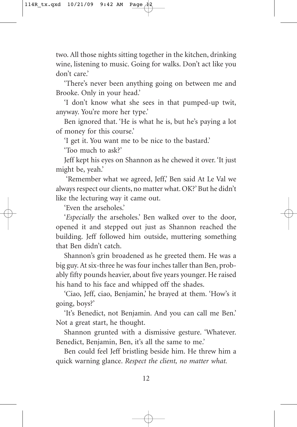two. All those nights sitting together in the kitchen, drinking wine, listening to music. Going for walks. Don't act like you don't care.'

'There's never been anything going on between me and Brooke. Only in your head.'

'I don't know what she sees in that pumped-up twit, anyway. You're more her type.'

Ben ignored that. 'He is what he is, but he's paying a lot of money for this course.'

'I get it. You want me to be nice to the bastard.'

'Too much to ask?'

Jeff kept his eyes on Shannon as he chewed it over. 'It just might be, yeah.'

'Remember what we agreed, Jeff,' Ben said At Le Val we always respect our clients, no matter what. OK?' But he didn't like the lecturing way it came out.

'Even the arseholes.'

'*Especially* the arseholes.' Ben walked over to the door, opened it and stepped out just as Shannon reached the building. Jeff followed him outside, muttering something that Ben didn't catch.

Shannon's grin broadened as he greeted them. He was a big guy. At six-three he was four inches taller than Ben, probably fifty pounds heavier, about five years younger. He raised his hand to his face and whipped off the shades.

'Ciao, Jeff, ciao, Benjamin,' he brayed at them. 'How's it going, boys?'

'It's Benedict, not Benjamin. And you can call me Ben.' Not a great start, he thought.

Shannon grunted with a dismissive gesture. 'Whatever. Benedict, Benjamin, Ben, it's all the same to me.'

Ben could feel Jeff bristling beside him. He threw him a quick warning glance. *Respect the client, no matter what.*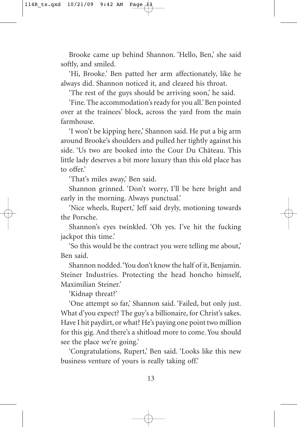Brooke came up behind Shannon. 'Hello, Ben,' she said softly, and smiled.

'Hi, Brooke.' Ben patted her arm affectionately, like he always did. Shannon noticed it, and cleared his throat.

'The rest of the guys should be arriving soon,' he said.

'Fine. The accommodation's ready for you all.' Ben pointed over at the trainees' block, across the yard from the main farmhouse.

'I won't be kipping here,' Shannon said. He put a big arm around Brooke's shoulders and pulled her tightly against his side. 'Us two are booked into the Cour Du Château. This little lady deserves a bit more luxury than this old place has to offer.'

'That's miles away,' Ben said.

Shannon grinned. 'Don't worry, I'll be here bright and early in the morning. Always punctual.'

'Nice wheels, Rupert,' Jeff said dryly, motioning towards the Porsche.

Shannon's eyes twinkled. 'Oh yes. I've hit the fucking jackpot this time.'

'So this would be the contract you were telling me about,' Ben said.

Shannon nodded.'You don't know the half of it, Benjamin. Steiner Industries. Protecting the head honcho himself, Maximilian Steiner.'

'Kidnap threat?'

'One attempt so far,' Shannon said. 'Failed, but only just. What d'you expect? The guy's a billionaire, for Christ's sakes. Have I hit paydirt, or what? He's paying one point two million for this gig. And there's a shitload more to come. You should see the place we're going.'

'Congratulations, Rupert,' Ben said. 'Looks like this new business venture of yours is really taking off.'